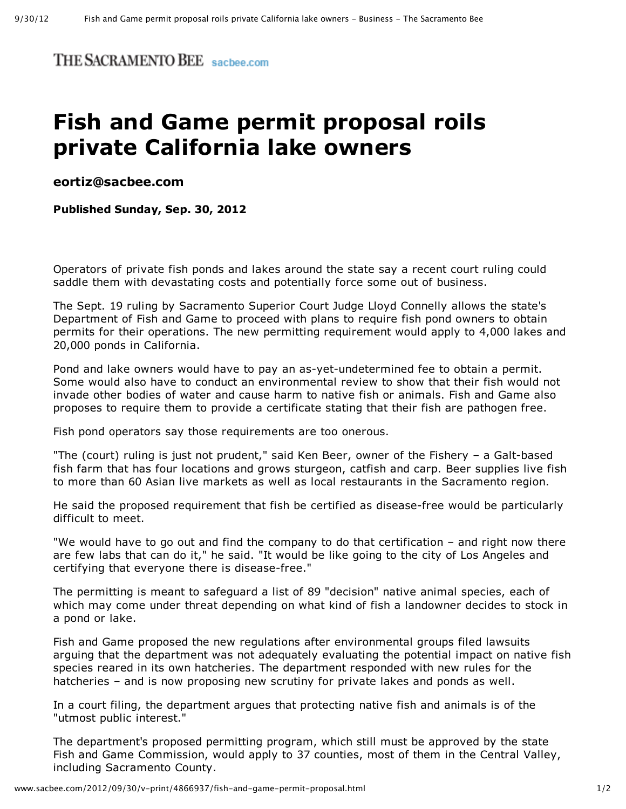THE SACRAMENTO BEE sacbee.com

## **Fish and Game permit proposal roils private California lake owners**

**[eortiz@sacbee.com](mailto:eortiz@sacbee.com)**

**Published Sunday, Sep. 30, 2012**

Operators of private fish ponds and lakes around the state say a recent court ruling could saddle them with devastating costs and potentially force some out of business.

The Sept. 19 ruling by Sacramento Superior Court Judge Lloyd Connelly allows the state's Department of Fish and Game to proceed with plans to require fish pond owners to obtain permits for their operations. The new permitting requirement would apply to 4,000 lakes and 20,000 ponds in California.

Pond and lake owners would have to pay an as-yet-undetermined fee to obtain a permit. Some would also have to conduct an environmental review to show that their fish would not invade other bodies of water and cause harm to native fish or animals. Fish and Game also proposes to require them to provide a certificate stating that their fish are pathogen free.

Fish pond operators say those requirements are too onerous.

"The (court) ruling is just not prudent," said Ken Beer, owner of the Fishery  $-$  a Galt-based fish farm that has four locations and grows sturgeon, catfish and carp. Beer supplies live fish to more than 60 Asian live markets as well as local restaurants in the Sacramento region.

He said the proposed requirement that fish be certified as disease-free would be particularly difficult to meet.

"We would have to go out and find the company to do that certification – and right now there are few labs that can do it," he said. "It would be like going to the city of Los Angeles and certifying that everyone there is disease-free."

The permitting is meant to safeguard a list of 89 "decision" native animal species, each of which may come under threat depending on what kind of fish a landowner decides to stock in a pond or lake.

Fish and Game proposed the new regulations after environmental groups filed lawsuits arguing that the department was not adequately evaluating the potential impact on native fish species reared in its own hatcheries. The department responded with new rules for the hatcheries – and is now proposing new scrutiny for private lakes and ponds as well.

In a court filing, the department argues that protecting native fish and animals is of the "utmost public interest."

The department's proposed permitting program, which still must be approved by the state Fish and Game Commission, would apply to 37 counties, most of them in the Central Valley, including Sacramento County.